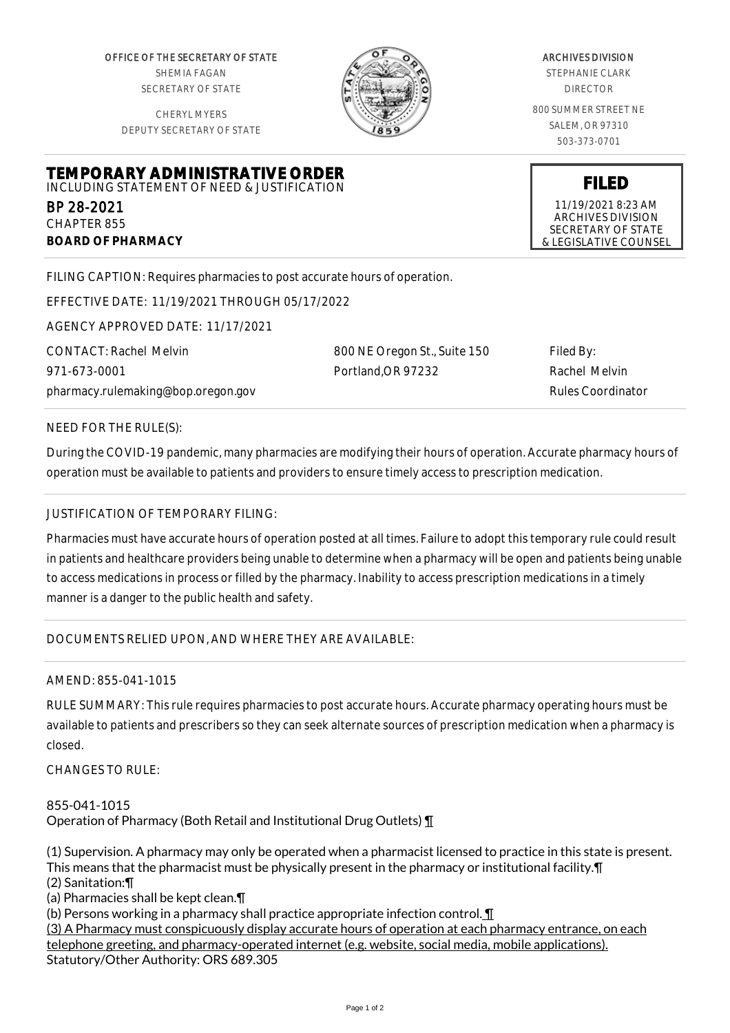OFFICE OF THE SECRETARY OF STATE SHEMIA FAGAN SECRETARY OF STATE

CHERYL MYERS DEPUTY SECRETARY OF STATE

**TEMPORARY ADMINISTRATIVE ORDER** INCLUDING STATEMENT OF NEED & JUSTIFICATION



## ARCHIVES DIVISION

STEPHANIE CLARK DIRECTOR

800 SUMMER STREET NE SALEM, OR 97310 503-373-0701

> **FILED** 11/19/2021 8:23 AM ARCHIVES DIVISION SECRETARY OF STATE

& LEGISLATIVE COUNSEL

FILING CAPTION: Requires pharmacies to post accurate hours of operation.

EFFECTIVE DATE: 11/19/2021 THROUGH 05/17/2022

AGENCY APPROVED DATE: 11/17/2021

CONTACT: Rachel Melvin 971-673-0001 pharmacy.rulemaking@bop.oregon.gov 800 NE Oregon St., Suite 150 Portland,OR 97232

Filed By: Rachel Melvin Rules Coordinator

NEED FOR THE RULE(S):

BP 28-2021 CHAPTER 855

**BOARD OF PHARMACY**

During the COVID-19 pandemic, many pharmacies are modifying their hours of operation. Accurate pharmacy hours of operation must be available to patients and providers to ensure timely access to prescription medication.

## JUSTIFICATION OF TEMPORARY FILING:

Pharmacies must have accurate hours of operation posted at all times. Failure to adopt this temporary rule could result in patients and healthcare providers being unable to determine when a pharmacy will be open and patients being unable to access medications in process or filled by the pharmacy. Inability to access prescription medications in a timely manner is a danger to the public health and safety.

DOCUMENTS RELIED UPON, AND WHERE THEY ARE AVAILABLE:

## AMEND: 855-041-1015

RULE SUMMARY: This rule requires pharmacies to post accurate hours. Accurate pharmacy operating hours must be available to patients and prescribers so they can seek alternate sources of prescription medication when a pharmacy is closed.

CHANGES TO RULE:

855-041-1015 Operation of Pharmacy (Both Retail and Institutional Drug Outlets) ¶

(1) Supervision. A pharmacy may only be operated when a pharmacist licensed to practice in this state is present. This means that the pharmacist must be physically present in the pharmacy or institutional facility.¶ (2) Sanitation:¶

(a) Pharmacies shall be kept clean.¶

(b) Persons working in a pharmacy shall practice appropriate infection control.  $\P$ 

(3) A Pharmacy must conspicuously display accurate hours of operation at each pharmacy entrance, on each telephone greeting, and pharmacy-operated internet (e.g. website, social media, mobile applications). Statutory/Other Authority: ORS 689.305